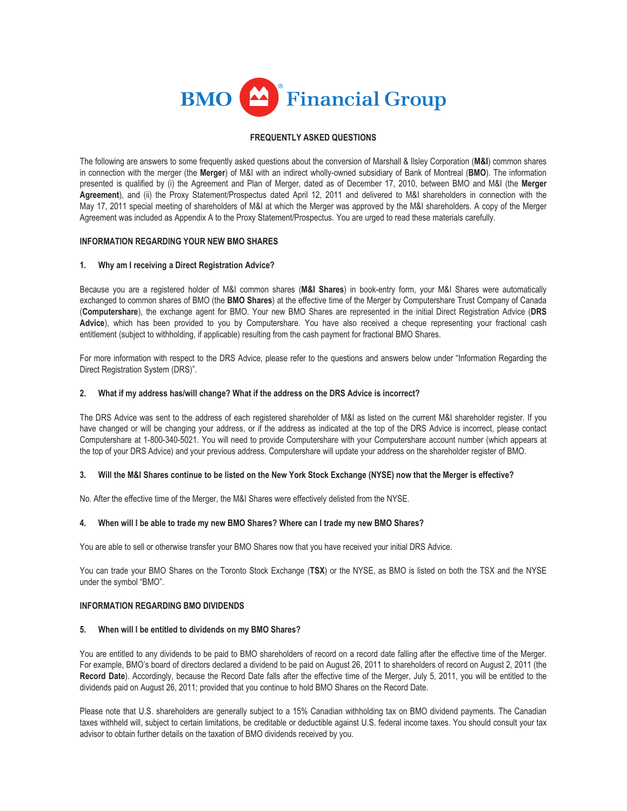

# **FREQUENTLY ASKED QUESTIONS**

The following are answers to some frequently asked questions about the conversion of Marshall & Ilsley Corporation (**M&I**) common shares in connection with the merger (the **Merger**) of M&I with an indirect wholly-owned subsidiary of Bank of Montreal (**BMO**). The information presented is qualified by (i) the Agreement and Plan of Merger, dated as of December 17, 2010, between BMO and M&I (the **Merger Agreement**), and (ii) the Proxy Statement/Prospectus dated April 12, 2011 and delivered to M&I shareholders in connection with the May 17, 2011 special meeting of shareholders of M&I at which the Merger was approved by the M&I shareholders. A copy of the Merger Agreement was included as Appendix A to the Proxy Statement/Prospectus. You are urged to read these materials carefully.

# **INFORMATION REGARDING YOUR NEW BMO SHARES**

# **1. Why am I receiving a Direct Registration Advice?**

Because you are a registered holder of M&I common shares (**M&I Shares**) in book-entry form, your M&I Shares were automatically exchanged to common shares of BMO (the **BMO Shares**) at the effective time of the Merger by Computershare Trust Company of Canada (**Computershare**), the exchange agent for BMO. Your new BMO Shares are represented in the initial Direct Registration Advice (**DRS Advice**), which has been provided to you by Computershare. You have also received a cheque representing your fractional cash entitlement (subject to withholding, if applicable) resulting from the cash payment for fractional BMO Shares.

For more information with respect to the DRS Advice, please refer to the questions and answers below under "Information Regarding the Direct Registration System (DRS)".

# **2. What if my address has/will change? What if the address on the DRS Advice is incorrect?**

The DRS Advice was sent to the address of each registered shareholder of M&I as listed on the current M&I shareholder register. If you have changed or will be changing your address, or if the address as indicated at the top of the DRS Advice is incorrect, please contact Computershare at 1-800-340-5021. You will need to provide Computershare with your Computershare account number (which appears at the top of your DRS Advice) and your previous address. Computershare will update your address on the shareholder register of BMO.

#### **3. Will the M&I Shares continue to be listed on the New York Stock Exchange (NYSE) now that the Merger is effective?**

No. After the effective time of the Merger, the M&I Shares were effectively delisted from the NYSE.

#### **4. When will I be able to trade my new BMO Shares? Where can I trade my new BMO Shares?**

You are able to sell or otherwise transfer your BMO Shares now that you have received your initial DRS Advice.

You can trade your BMO Shares on the Toronto Stock Exchange (**TSX**) or the NYSE, as BMO is listed on both the TSX and the NYSE under the symbol "BMO".

#### **INFORMATION REGARDING BMO DIVIDENDS**

#### **5. When will I be entitled to dividends on my BMO Shares?**

You are entitled to any dividends to be paid to BMO shareholders of record on a record date falling after the effective time of the Merger. For example, BMO's board of directors declared a dividend to be paid on August 26, 2011 to shareholders of record on August 2, 2011 (the **Record Date**). Accordingly, because the Record Date falls after the effective time of the Merger, July 5, 2011, you will be entitled to the dividends paid on August 26, 2011; provided that you continue to hold BMO Shares on the Record Date.

Please note that U.S. shareholders are generally subject to a 15% Canadian withholding tax on BMO dividend payments. The Canadian taxes withheld will, subject to certain limitations, be creditable or deductible against U.S. federal income taxes. You should consult your tax advisor to obtain further details on the taxation of BMO dividends received by you.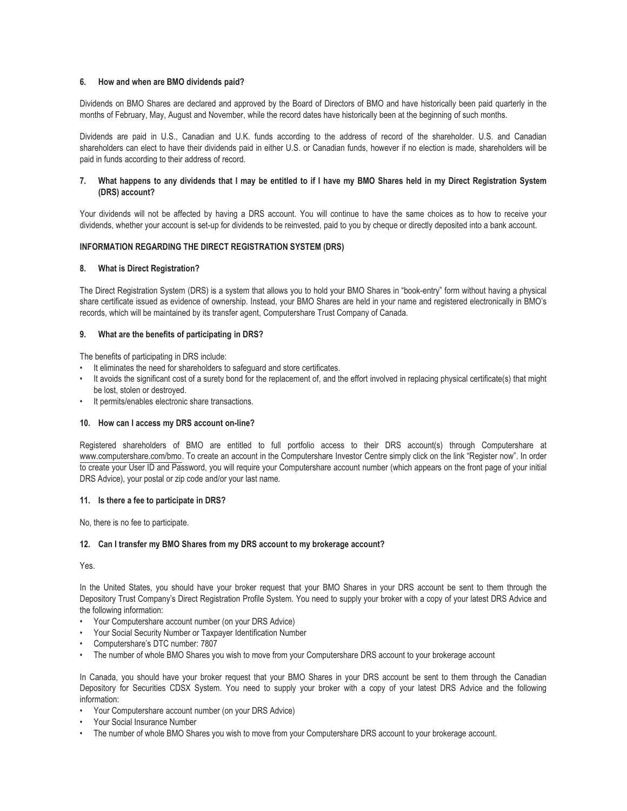# **6. How and when are BMO dividends paid?**

Dividends on BMO Shares are declared and approved by the Board of Directors of BMO and have historically been paid quarterly in the months of February, May, August and November, while the record dates have historically been at the beginning of such months.

Dividends are paid in U.S., Canadian and U.K. funds according to the address of record of the shareholder. U.S. and Canadian shareholders can elect to have their dividends paid in either U.S. or Canadian funds, however if no election is made, shareholders will be paid in funds according to their address of record.

# **7. What happens to any dividends that I may be entitled to if I have my BMO Shares held in my Direct Registration System (DRS) account?**

Your dividends will not be affected by having a DRS account. You will continue to have the same choices as to how to receive your dividends, whether your account is set-up for dividends to be reinvested, paid to you by cheque or directly deposited into a bank account.

# **INFORMATION REGARDING THE DIRECT REGISTRATION SYSTEM (DRS)**

# **8. What is Direct Registration?**

The Direct Registration System (DRS) is a system that allows you to hold your BMO Shares in "book-entry" form without having a physical share certificate issued as evidence of ownership. Instead, your BMO Shares are held in your name and registered electronically in BMO's records, which will be maintained by its transfer agent, Computershare Trust Company of Canada.

# **9. What are the benefits of participating in DRS?**

The benefits of participating in DRS include:

- It eliminates the need for shareholders to safeguard and store certificates.
- It avoids the significant cost of a surety bond for the replacement of, and the effort involved in replacing physical certificate(s) that might be lost, stolen or destroyed.
- It permits/enables electronic share transactions.

#### **10. How can I access my DRS account on-line?**

Registered shareholders of BMO are entitled to full portfolio access to their DRS account(s) through Computershare at www.computershare.com/bmo. To create an account in the Computershare Investor Centre simply click on the link "Register now". In order to create your User ID and Password, you will require your Computershare account number (which appears on the front page of your initial DRS Advice), your postal or zip code and/or your last name.

#### **11. Is there a fee to participate in DRS?**

No, there is no fee to participate.

#### **12. Can I transfer my BMO Shares from my DRS account to my brokerage account?**

Yes.

In the United States, you should have your broker request that your BMO Shares in your DRS account be sent to them through the Depository Trust Company's Direct Registration Profile System. You need to supply your broker with a copy of your latest DRS Advice and the following information:

- Your Computershare account number (on your DRS Advice)
- Your Social Security Number or Taxpayer Identification Number
- Computershare's DTC number: 7807
- The number of whole BMO Shares you wish to move from your Computershare DRS account to your brokerage account

In Canada, you should have your broker request that your BMO Shares in your DRS account be sent to them through the Canadian Depository for Securities CDSX System. You need to supply your broker with a copy of your latest DRS Advice and the following information:

- Your Computershare account number (on your DRS Advice)
- Your Social Insurance Number
- The number of whole BMO Shares you wish to move from your Computershare DRS account to your brokerage account.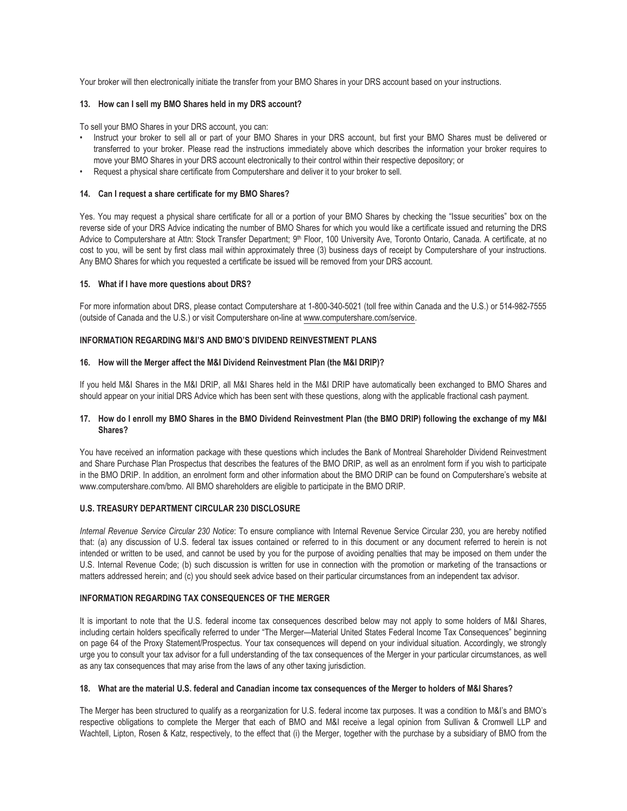Your broker will then electronically initiate the transfer from your BMO Shares in your DRS account based on your instructions.

#### **13. How can I sell my BMO Shares held in my DRS account?**

To sell your BMO Shares in your DRS account, you can:

- Instruct your broker to sell all or part of your BMO Shares in your DRS account, but first your BMO Shares must be delivered or transferred to your broker. Please read the instructions immediately above which describes the information your broker requires to move your BMO Shares in your DRS account electronically to their control within their respective depository; or
- Request a physical share certificate from Computershare and deliver it to your broker to sell.

# **14. Can I request a share certificate for my BMO Shares?**

Yes. You may request a physical share certificate for all or a portion of your BMO Shares by checking the "Issue securities" box on the reverse side of your DRS Advice indicating the number of BMO Shares for which you would like a certificate issued and returning the DRS Advice to Computershare at Attn: Stock Transfer Department; 9<sup>th</sup> Floor, 100 University Ave, Toronto Ontario, Canada. A certificate, at no cost to you, will be sent by first class mail within approximately three (3) business days of receipt by Computershare of your instructions. Any BMO Shares for which you requested a certificate be issued will be removed from your DRS account.

#### **15. What if I have more questions about DRS?**

For more information about DRS, please contact Computershare at 1-800-340-5021 (toll free within Canada and the U.S.) or 514-982-7555 (outside of Canada and the U.S.) or visit Computershare on-line at www.computershare.com/service.

#### **INFORMATION REGARDING M&I'S AND BMO'S DIVIDEND REINVESTMENT PLANS**

#### **16. How will the Merger affect the M&I Dividend Reinvestment Plan (the M&I DRIP)?**

If you held M&I Shares in the M&I DRIP, all M&I Shares held in the M&I DRIP have automatically been exchanged to BMO Shares and should appear on your initial DRS Advice which has been sent with these questions, along with the applicable fractional cash payment.

# **17. How do I enroll my BMO Shares in the BMO Dividend Reinvestment Plan (the BMO DRIP) following the exchange of my M&I Shares?**

You have received an information package with these questions which includes the Bank of Montreal Shareholder Dividend Reinvestment and Share Purchase Plan Prospectus that describes the features of the BMO DRIP, as well as an enrolment form if you wish to participate in the BMO DRIP. In addition, an enrolment form and other information about the BMO DRIP can be found on Computershare's website at www.computershare.com/bmo. All BMO shareholders are eligible to participate in the BMO DRIP.

#### **U.S. TREASURY DEPARTMENT CIRCULAR 230 DISCLOSURE**

*Internal Revenue Service Circular 230 Notice*: To ensure compliance with Internal Revenue Service Circular 230, you are hereby notified that: (a) any discussion of U.S. federal tax issues contained or referred to in this document or any document referred to herein is not intended or written to be used, and cannot be used by you for the purpose of avoiding penalties that may be imposed on them under the U.S. Internal Revenue Code; (b) such discussion is written for use in connection with the promotion or marketing of the transactions or matters addressed herein; and (c) you should seek advice based on their particular circumstances from an independent tax advisor.

# **INFORMATION REGARDING TAX CONSEQUENCES OF THE MERGER**

It is important to note that the U.S. federal income tax consequences described below may not apply to some holders of M&I Shares, including certain holders specifically referred to under "The Merger—Material United States Federal Income Tax Consequences" beginning on page 64 of the Proxy Statement/Prospectus. Your tax consequences will depend on your individual situation. Accordingly, we strongly urge you to consult your tax advisor for a full understanding of the tax consequences of the Merger in your particular circumstances, as well as any tax consequences that may arise from the laws of any other taxing jurisdiction.

#### **18. What are the material U.S. federal and Canadian income tax consequences of the Merger to holders of M&I Shares?**

The Merger has been structured to qualify as a reorganization for U.S. federal income tax purposes. It was a condition to M&I's and BMO's respective obligations to complete the Merger that each of BMO and M&I receive a legal opinion from Sullivan & Cromwell LLP and Wachtell, Lipton, Rosen & Katz, respectively, to the effect that (i) the Merger, together with the purchase by a subsidiary of BMO from the